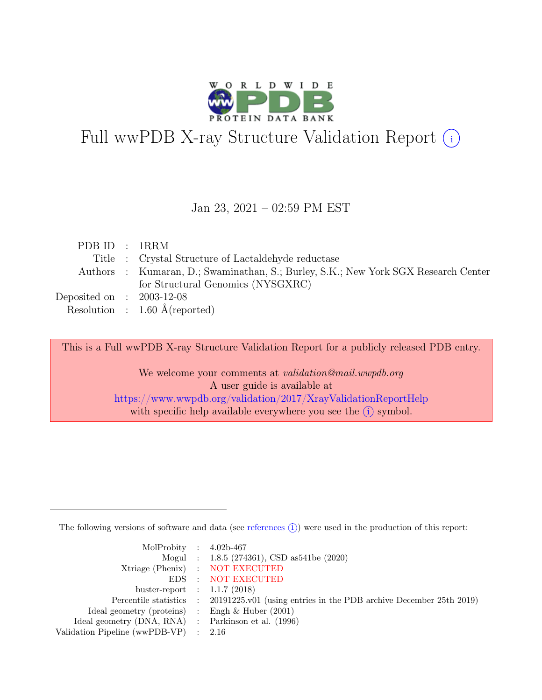

# Full wwPDB X-ray Structure Validation Report  $\textcircled{\textsc{i}}$

#### Jan 23, 2021 – 02:59 PM EST

| PDB ID : 1RRM               |                                                                                    |
|-----------------------------|------------------------------------------------------------------------------------|
|                             | Title : Crystal Structure of Lactaldehyde reductase                                |
|                             | Authors : Kumaran, D.; Swaminathan, S.; Burley, S.K.; New York SGX Research Center |
|                             | for Structural Genomics (NYSGXRC)                                                  |
| Deposited on : $2003-12-08$ |                                                                                    |
|                             | Resolution : $1.60 \text{ Å}$ (reported)                                           |

This is a Full wwPDB X-ray Structure Validation Report for a publicly released PDB entry.

We welcome your comments at *validation@mail.wwpdb.org* A user guide is available at <https://www.wwpdb.org/validation/2017/XrayValidationReportHelp> with specific help available everywhere you see the  $(i)$  symbol.

The following versions of software and data (see [references](https://www.wwpdb.org/validation/2017/XrayValidationReportHelp#references)  $(i)$ ) were used in the production of this report:

| MolProbity : $4.02b-467$                            |                                                                                            |
|-----------------------------------------------------|--------------------------------------------------------------------------------------------|
|                                                     | Mogul : $1.8.5$ (274361), CSD as 541be (2020)                                              |
|                                                     | Xtriage (Phenix) : NOT EXECUTED                                                            |
|                                                     | EDS : NOT EXECUTED                                                                         |
| buster-report : $1.1.7$ (2018)                      |                                                                                            |
|                                                     | Percentile statistics : 20191225.v01 (using entries in the PDB archive December 25th 2019) |
| Ideal geometry (proteins) : Engh $\&$ Huber (2001)  |                                                                                            |
| Ideal geometry (DNA, RNA) : Parkinson et al. (1996) |                                                                                            |
| Validation Pipeline (wwPDB-VP) $\therefore$ 2.16    |                                                                                            |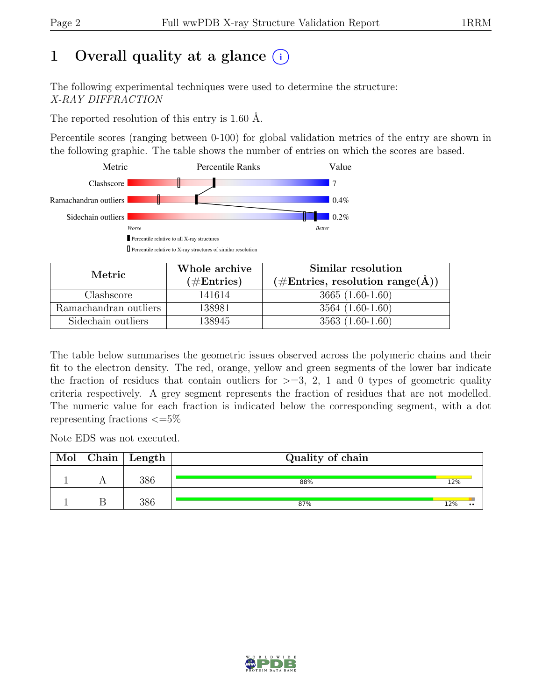## 1 Overall quality at a glance  $(i)$

The following experimental techniques were used to determine the structure: X-RAY DIFFRACTION

The reported resolution of this entry is 1.60 Å.

Percentile scores (ranging between 0-100) for global validation metrics of the entry are shown in the following graphic. The table shows the number of entries on which the scores are based.



| Metric                | Whole archive        | Similar resolution                                              |  |  |
|-----------------------|----------------------|-----------------------------------------------------------------|--|--|
|                       | $(\#\text{Entries})$ | $(\#\text{Entries}, \, \text{resolution range}(\text{\AA})\, )$ |  |  |
| Clashscore            | 141614               | $3665(1.60-1.60)$                                               |  |  |
| Ramachandran outliers | 138981               | $3564(1.60-1.60)$                                               |  |  |
| Sidechain outliers    | 138945               | $3563(1.60-1.60)$                                               |  |  |

The table below summarises the geometric issues observed across the polymeric chains and their fit to the electron density. The red, orange, yellow and green segments of the lower bar indicate the fraction of residues that contain outliers for  $\geq$ =3, 2, 1 and 0 types of geometric quality criteria respectively. A grey segment represents the fraction of residues that are not modelled. The numeric value for each fraction is indicated below the corresponding segment, with a dot representing fractions  $\epsilon = 5\%$ 

Note EDS was not executed.

| Mol | $Chain$ Length | Quality of chain |     |  |
|-----|----------------|------------------|-----|--|
|     | 386            | 88%              | 12% |  |
|     | 386            | 87%              | 12% |  |

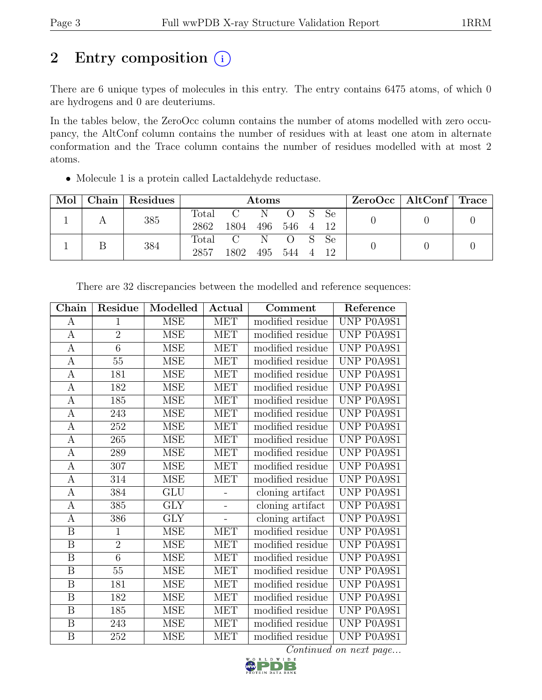## 2 Entry composition  $(i)$

There are 6 unique types of molecules in this entry. The entry contains 6475 atoms, of which 0 are hydrogens and 0 are deuteriums.

In the tables below, the ZeroOcc column contains the number of atoms modelled with zero occupancy, the AltConf column contains the number of residues with at least one atom in alternate conformation and the Trace column contains the number of residues modelled with at most 2 atoms.

• Molecule 1 is a protein called Lactaldehyde reductase.

| Mol |  | Chain   Residues | <b>Atoms</b>      |           |           |        |  |  | $ZeroOcc \mid AltConf \mid Trace \mid$ |  |
|-----|--|------------------|-------------------|-----------|-----------|--------|--|--|----------------------------------------|--|
|     |  | 385              |                   | Total C N |           | O S Se |  |  |                                        |  |
|     |  | 2862             | 1804 496 546 4 12 |           |           |        |  |  |                                        |  |
|     |  | 384              |                   | Total C N |           | O S Se |  |  |                                        |  |
|     |  | 2857             | 1802              |           | 495 544 4 |        |  |  |                                        |  |

| Chain                   | Residue          | Modelled    | Actual     | Comment          | Reference              |
|-------------------------|------------------|-------------|------------|------------------|------------------------|
| А                       | $\mathbf{1}$     | <b>MSE</b>  | <b>MET</b> | modified residue | UNP P0A9S1             |
| $\boldsymbol{A}$        | $\overline{2}$   | <b>MSE</b>  | <b>MET</b> | modified residue | <b>UNP P0A9S1</b>      |
| $\boldsymbol{A}$        | $\overline{6}$   | <b>MSE</b>  | <b>MET</b> | modified residue | UNP P0A9S1             |
| $\boldsymbol{A}$        | $\overline{55}$  | <b>MSE</b>  | <b>MET</b> | modified residue | UNP P0A9S1             |
| $\overline{A}$          | 181              | <b>MSE</b>  | <b>MET</b> | modified residue | UNP P0A9S1             |
| $\boldsymbol{A}$        | 182              | <b>MSE</b>  | <b>MET</b> | modified residue | UNP P0A9S1             |
| A                       | 185              | <b>MSE</b>  | <b>MET</b> | modified residue | UNP P0A9S1             |
| $\mathbf{A}$            | 243              | <b>MSE</b>  | <b>MET</b> | modified residue | UNP P0A9S1             |
| $\overline{A}$          | 252              | <b>MSE</b>  | <b>MET</b> | modified residue | <b>UNP P0A9S1</b>      |
| $\overline{A}$          | $\overline{265}$ | <b>MSE</b>  | <b>MET</b> | modified residue | UNP P0A9S1             |
| $\boldsymbol{A}$        | 289              | <b>MSE</b>  | <b>MET</b> | modified residue | UNP P0A9S1             |
| $\boldsymbol{A}$        | 307              | <b>MSE</b>  | <b>MET</b> | modified residue | UNP P0A9S1             |
| $\boldsymbol{A}$        | 314              | <b>MSE</b>  | <b>MET</b> | modified residue | UNP P0A9S1             |
| $\overline{A}$          | 384              | <b>GLU</b>  |            | cloning artifact | UNP P0A9S1             |
| $\overline{A}$          | $\overline{385}$ | <b>GLY</b>  |            | cloning artifact | UNP P0A9S1             |
| $\boldsymbol{A}$        | 386              | ${\rm GLY}$ |            | cloning artifact | UNP P0A9S1             |
| $\overline{\mathbf{B}}$ | $\mathbf{1}$     | <b>MSE</b>  | <b>MET</b> | modified residue | UNP P0A9S1             |
| $\boldsymbol{B}$        | $\overline{2}$   | <b>MSE</b>  | <b>MET</b> | modified residue | UNP P0A9S1             |
| $\overline{B}$          | $\overline{6}$   | <b>MSE</b>  | <b>MET</b> | modified residue | UNP P0A9S1             |
| $\overline{\mathbf{B}}$ | $\overline{55}$  | <b>MSE</b>  | <b>MET</b> | modified residue | UNP P0A9S1             |
| $\boldsymbol{B}$        | 181              | <b>MSE</b>  | <b>MET</b> | modified residue | UNP P0A9S1             |
| $\overline{\mathrm{B}}$ | 182              | <b>MSE</b>  | <b>MET</b> | modified residue | UNP P0A9S1             |
| $\boldsymbol{B}$        | 185              | <b>MSE</b>  | <b>MET</b> | modified residue | UNP P0A9S1             |
| $\, {\bf B}$            | 243              | <b>MSE</b>  | <b>MET</b> | modified residue | UNP P0A9S1             |
| $\overline{B}$          | 252              | <b>MSE</b>  | <b>MET</b> | modified residue | UNP P0A9S1             |
|                         |                  |             |            |                  | Continued on next page |

There are 32 discrepancies between the modelled and reference sequences:

D W I D E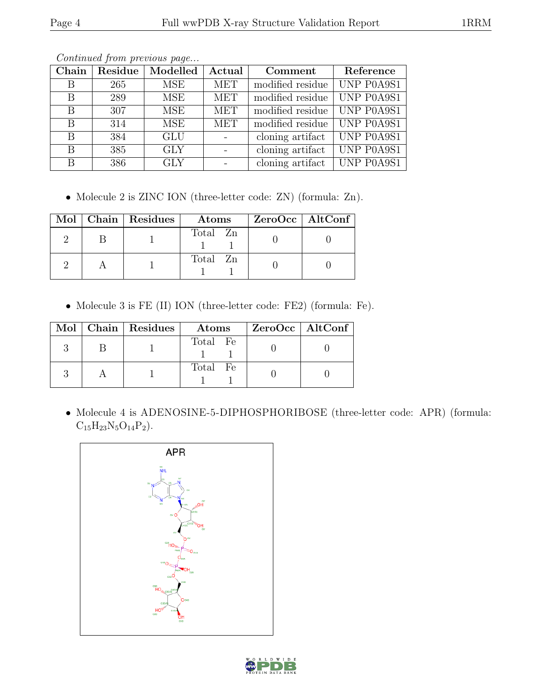| Chain | Residue | Modelled         | Actual     | Comment          | Reference                |
|-------|---------|------------------|------------|------------------|--------------------------|
| В     | 265     | MSE              | <b>MET</b> | modified residue | UNP P0A9S1               |
| B     | 289     | <b>MSE</b>       | <b>MET</b> | modified residue | UNP P0A9S1               |
| B     | 307     | <b>MSE</b>       | <b>MET</b> | modified residue | UNP P0A9S1               |
| B     | 314     | <b>MSE</b>       | <b>MET</b> | modified residue | UNP P0A9S1               |
| B     | 384     | $\overline{GLU}$ |            | cloning artifact | $\overline{UNP P0}$ A9S1 |
| Β     | 385     | <b>GLY</b>       |            | cloning artifact | UNP P0A9S1               |
| B     | 386     | <b>GLY</b>       |            | cloning artifact | UNP P0A9S1               |

Continued from previous page...

• Molecule 2 is ZINC ION (three-letter code: ZN) (formula: Zn).

|  | Mol   Chain   Residues | Atoms    | ZeroOcc   AltConf |
|--|------------------------|----------|-------------------|
|  |                        | Total Zn |                   |
|  |                        | Total Zn |                   |

• Molecule 3 is FE (II) ION (three-letter code: FE2) (formula: Fe).

|  | Mol   Chain   Residues | $\rm{Atoms}$ | $ZeroOcc \mid AltConf \mid$ |
|--|------------------------|--------------|-----------------------------|
|  |                        | Total Fe     |                             |
|  |                        | Total Fe     |                             |

• Molecule 4 is ADENOSINE-5-DIPHOSPHORIBOSE (three-letter code: APR) (formula:  $C_{15}H_{23}N_5O_{14}P_2$ .



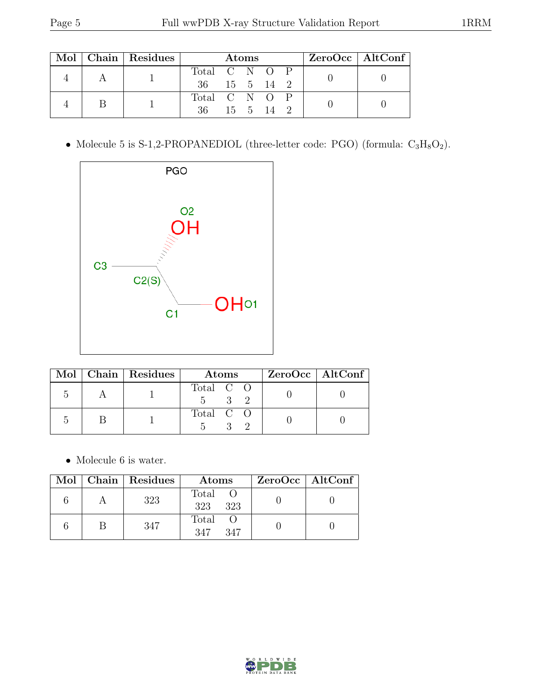|  |  | Mol   Chain   Residues | <b>Atoms</b>  |  |  |  |  | $ZeroOcc \   \ AltConf \  $ |
|--|--|------------------------|---------------|--|--|--|--|-----------------------------|
|  |  |                        | Total C N O P |  |  |  |  |                             |
|  |  | 36 15 5 14 2           |               |  |  |  |  |                             |
|  |  |                        | Total C N O P |  |  |  |  |                             |
|  |  | 36 15 5 14 2           |               |  |  |  |  |                             |

 $\bullet$  Molecule 5 is S-1,2-PROPANEDIOL (three-letter code: PGO) (formula:  $\rm{C_3H_8O_2}).$ 



|  | Mol   Chain   Residues | Atoms     | ZeroOcc   AltConf |
|--|------------------------|-----------|-------------------|
|  |                        | Total C O |                   |
|  |                        | Total C O |                   |

 $\bullet\,$  Molecule 6 is water.

|  | Mol   Chain   Residues | Atoms               | $ZeroOcc \mid AltConf \mid$ |
|--|------------------------|---------------------|-----------------------------|
|  | 323                    | Total<br>323<br>323 |                             |
|  | 347                    | Total<br>347<br>347 |                             |

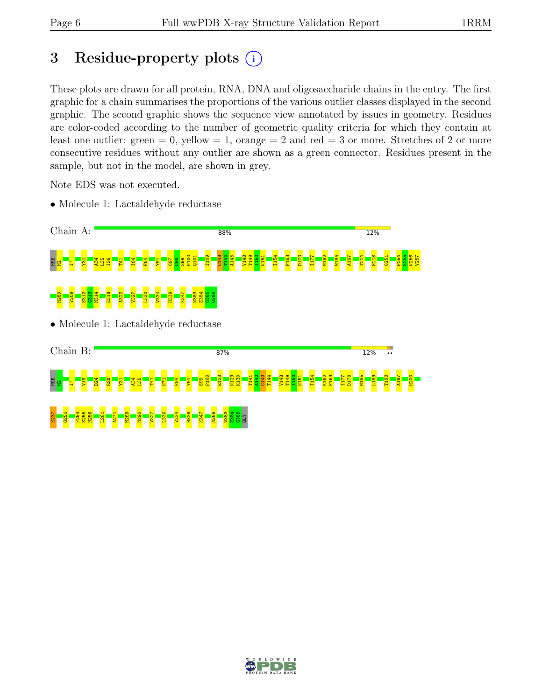## 3 Residue-property plots  $(i)$

These plots are drawn for all protein, RNA, DNA and oligosaccharide chains in the entry. The first graphic for a chain summarises the proportions of the various outlier classes displayed in the second graphic. The second graphic shows the sequence view annotated by issues in geometry. Residues are color-coded according to the number of geometric quality criteria for which they contain at least one outlier: green  $= 0$ , yellow  $= 1$ , orange  $= 2$  and red  $= 3$  or more. Stretches of 2 or more consecutive residues without any outlier are shown as a green connector. Residues present in the sample, but not in the model, are shown in grey.

Note EDS was not executed.

• Molecule 1: Lactaldehyde reductase



• Molecule 1: Lactaldehyde reductase



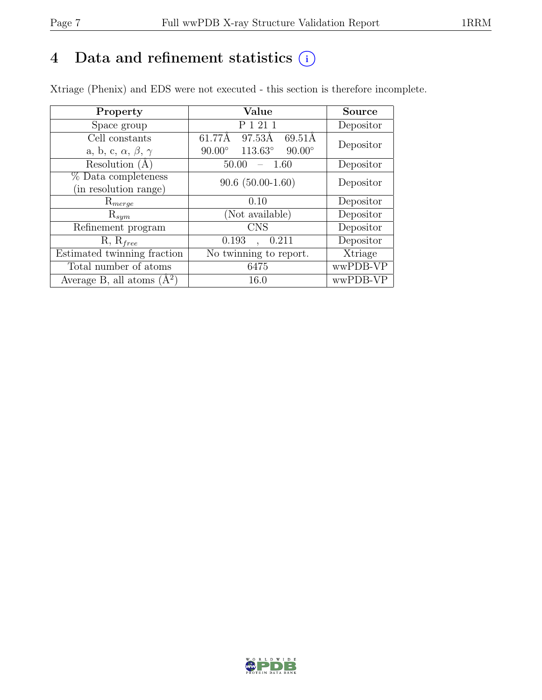### 4 Data and refinement statistics  $(i)$

Xtriage (Phenix) and EDS were not executed - this section is therefore incomplete.

| Property                               | Value                                              | <b>Source</b> |
|----------------------------------------|----------------------------------------------------|---------------|
| Space group                            | P 1 21 1                                           | Depositor     |
| Cell constants                         | 61.77Å<br>97.53Å<br>69.51Å                         | Depositor     |
| a, b, c, $\alpha$ , $\beta$ , $\gamma$ | $113.63^{\circ}$<br>$90.00^\circ$<br>$90.00^\circ$ |               |
| Resolution (A                          | 50.00<br>-1.60                                     | Depositor     |
| % Data completeness                    | $90.6(50.00-1.60)$                                 | Depositor     |
| (in resolution range)                  |                                                    |               |
| $\mathrm{R}_{merge}$                   | 0.10                                               | Depositor     |
| $\mathrm{R}_{sym}$                     | (Not available)                                    | Depositor     |
| Refinement program                     | <b>CNS</b>                                         | Depositor     |
| $R, R_{free}$                          | 0.193<br>0.211                                     | Depositor     |
| Estimated twinning fraction            | No twinning to report.                             | Xtriage       |
| Total number of atoms                  | 6475                                               | wwPDB-VP      |
| Average B, all atoms $(A^2)$           | 16.0                                               | wwPDB-VP      |

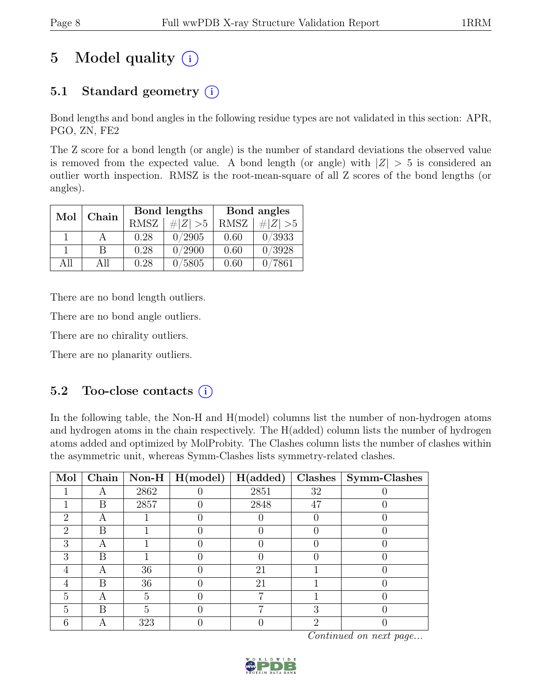## 5 Model quality  $(i)$

### 5.1 Standard geometry  $(i)$

Bond lengths and bond angles in the following residue types are not validated in this section: APR, PGO, ZN, FE2

The Z score for a bond length (or angle) is the number of standard deviations the observed value is removed from the expected value. A bond length (or angle) with  $|Z| > 5$  is considered an outlier worth inspection. RMSZ is the root-mean-square of all Z scores of the bond lengths (or angles).

| Mol  | Chain |             | Bond lengths | Bond angles    |             |
|------|-------|-------------|--------------|----------------|-------------|
|      |       | <b>RMSZ</b> | $\# Z  > 5$  | <b>RMSZ</b>    | # $ Z  > 5$ |
|      |       | 0.28        | 0/2905       | 0.60           | 0/3933      |
|      | B     | 0.28        | 0/2900       | 0.60           | 0/3928      |
| A 11 | All   | 0.28        | 0/5805       | $0.60^{\circ}$ | 7861        |

There are no bond length outliers.

There are no bond angle outliers.

There are no chirality outliers.

There are no planarity outliers.

#### 5.2 Too-close contacts  $(i)$

In the following table, the Non-H and H(model) columns list the number of non-hydrogen atoms and hydrogen atoms in the chain respectively. The H(added) column lists the number of hydrogen atoms added and optimized by MolProbity. The Clashes column lists the number of clashes within the asymmetric unit, whereas Symm-Clashes lists symmetry-related clashes.

| Mol                         |   |      | $\boxed{\text{Chain}}$ Non-H   H(model) | H(added) |    | Clashes   Symm-Clashes |
|-----------------------------|---|------|-----------------------------------------|----------|----|------------------------|
|                             |   | 2862 |                                         | 2851     | 32 |                        |
|                             | В | 2857 |                                         | 2848     | 47 |                        |
| 2                           |   |      |                                         |          |    |                        |
| $\mathcal{D}_{\mathcal{L}}$ | В |      |                                         |          |    |                        |
| 3                           |   |      |                                         |          |    |                        |
| 3                           | B |      |                                         |          |    |                        |
| 4                           |   | 36   |                                         | 21       |    |                        |
|                             | B | 36   |                                         | 21       |    |                        |
| 5                           | А | 5    |                                         |          |    |                        |
| 5                           | B | 5    |                                         |          | റ  |                        |
| հ                           |   | 323  |                                         |          | റ  |                        |

Continued on next page...

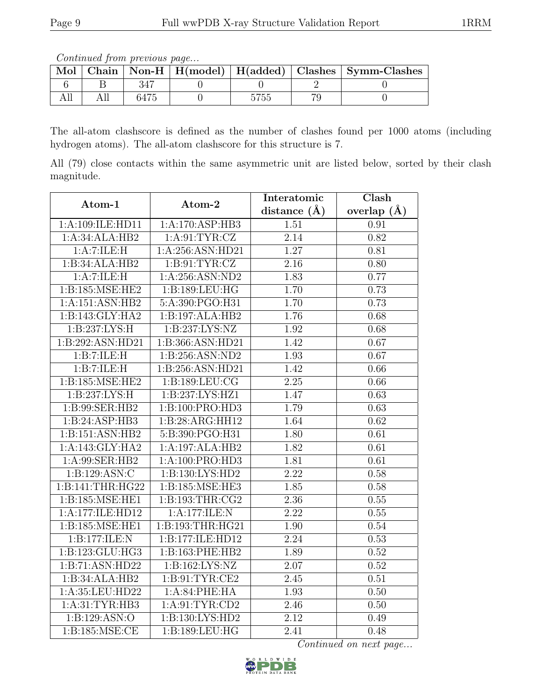Continued from previous page...

| Mol |  |  | Chain   Non-H   H(model)   H(added)   Clashes   Symm-Clashes |
|-----|--|--|--------------------------------------------------------------|
|     |  |  |                                                              |
|     |  |  |                                                              |

The all-atom clashscore is defined as the number of clashes found per 1000 atoms (including hydrogen atoms). The all-atom clashscore for this structure is 7.

All (79) close contacts within the same asymmetric unit are listed below, sorted by their clash magnitude.

| Atom-1                   | Atom-2             | Interatomic       | Clash             |
|--------------------------|--------------------|-------------------|-------------------|
|                          |                    | distance $(\AA)$  | overlap $(\AA)$   |
| 1:A:109:ILE:HD11         | 1:A:170:ASP:HB3    | 1.51              | 0.91              |
| 1:A:34:ALA:HB2           | 1: A:91: TYR: CZ   | 2.14              | 0.82              |
| $1:A:7:\overline{ILE:H}$ | 1:A:256:ASN:HD21   | 1.27              | 0.81              |
| 1:B:34:ALA:HB2           | 1: B: 91: TYR: CZ  | 2.16              | 0.80              |
| 1:A:7:ILE:H              | 1:A:256:ASN:ND2    | 1.83              | 0.77              |
| 1:B:185:MSE:HE2          | 1:B:189:LEU:HG     | 1.70              | 0.73              |
| 1:A:151:ASN:HB2          | 5:A:390:PGO:H31    | 1.70              | 0.73              |
| 1:B:143:GLY:HA2          | 1:B:197:ALA:HB2    | 1.76              | 0.68              |
| 1:B:237:LYS:H            | 1:B:237:LYS:NZ     | 1.92              | 0.68              |
| 1:B:292:ASN:HD21         | 1:B:366:ASN:HD21   | 1.42              | 0.67              |
| 1:B:7:ILE:H              | 1:B:256:ASN:ND2    | 1.93              | 0.67              |
| 1:B:7:ILE:H              | 1:B:256:ASN:HD21   | 1.42              | 0.66              |
| 1:B:185:MSE:HE2          | 1: B: 189: LEU: CG | 2.25              | 0.66              |
| 1:B:237:LYS:H            | 1:B:237:LYS:HZ1    | 1.47              | 0.63              |
| 1:B:99:SER:HB2           | 1:B:100:PRO:HD3    | 1.79              | 0.63              |
| 1:B:24:ASP:HB3           | 1:B:28:ARG:HH12    | 1.64              | 0.62              |
| 1:B:151:ASN:HB2          | 5:B:390:PGO:H31    | 1.80              | 0.61              |
| 1:A:143:GLY:HA2          | 1:A:197:ALA:HB2    | 1.82              | 0.61              |
| 1:A:99:SER:HB2           | 1:A:100:PRO:HD3    | 1.81              | 0.61              |
| 1: B: 129: ASN: C        | 1:B:130:LYS:HD2    | $\overline{2.22}$ | 0.58              |
| 1:B:141:THR:HG22         | 1:B:185:MSE:HE3    | 1.85              | 0.58              |
| 1:B:185:MSE:HE1          | 1:B:193:THR:CG2    | $\overline{2.36}$ | $\overline{0.55}$ |
| 1:A:177:ILE:HD12         | 1:A:177:ILE:N      | $\overline{2.22}$ | 0.55              |
| 1:B:185:MSE:HE1          | 1:B:193:THR:HG21   | 1.90              | 0.54              |
| 1:B:177:ILE:N            | 1:B:177:ILE:HD12   | 2.24              | 0.53              |
| 1:B:123:GLU:HG3          | 1:B:163:PHE:HB2    | 1.89              | 0.52              |
| 1:B:71:ASN:HD22          | 1:B:162:LYS:NZ     | 2.07              | 0.52              |
| 1:B:34:ALA:HB2           | 1:B:91:TYR:CE2     | 2.45              | 0.51              |
| 1:A:35:LEU:HD22          | 1:A:84:PHE:HA      | 1.93              | 0.50              |
| 1: A:31:TYR:HB3          | 1: A:91: TYR: CD2  | 2.46              | 0.50              |
| 1:B:129:ASN:O            | 1:B:130:LYS:HD2    | 2.12              | 0.49              |
| 1: B:185: MSE: CE        | 1:B:189:LEU:HG     | 2.41              | 0.48              |

Continued on next page...

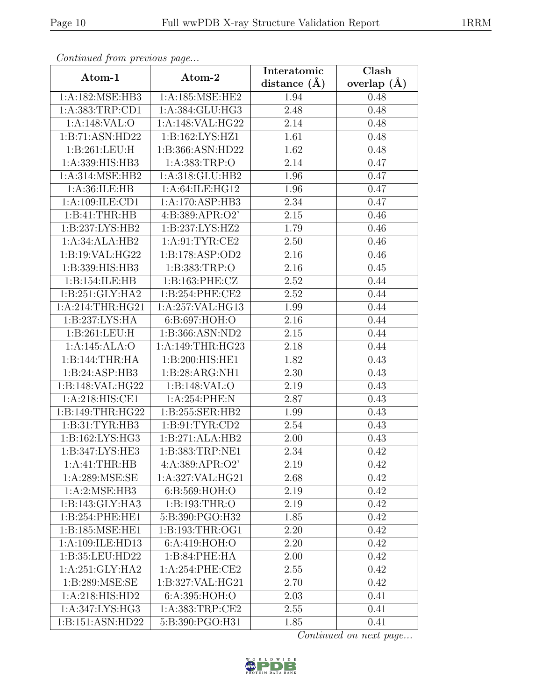| Continuea from previous page |                     | Interatomic       | Clash         |  |
|------------------------------|---------------------|-------------------|---------------|--|
| Atom-1                       | Atom-2              | distance $(\AA)$  | overlap $(A)$ |  |
| 1:A:182:MSE:HB3              | 1: A: 185: MSE: HE2 | 1.94              | 0.48          |  |
| 1:A:383:TRP:CD1              | 1:A:384:GLU:HG3     | 2.48              | 0.48          |  |
| 1:A:148:VAL:O                | 1:A:148:VAL:HG22    | 2.14              | 0.48          |  |
| 1:B:71:ASN:HD22              | 1:B:162:LYS:HZ1     | 1.61              | 0.48          |  |
| 1: B:261:LEU:H               | 1:B:366:ASN:HD22    | 1.62              | 0.48          |  |
| 1:A:339:HIS:HB3              | 1:A:383:TRP:O       | 2.14              | 0.47          |  |
| 1:A:314:MSE:HB2              | 1:A:318:GLU:HB2     | 1.96              | 0.47          |  |
| 1:A:36:ILE:HB                | 1:A:64:ILE:HG12     | 1.96              | 0.47          |  |
| 1:A:109:ILE:CD1              | 1:A:170:ASP:HB3     | 2.34              | 0.47          |  |
| 1:B:41:THR:HB                | 4:B:389:APR:O2'     | 2.15              | 0.46          |  |
| 1:B:237:LYS:HB2              | 1:B:237:LYS:HZ2     | 1.79              | 0.46          |  |
| 1:A:34:ALA:HB2               | 1: A:91: TYR: CE2   | 2.50              | 0.46          |  |
| 1:B:19:VAL:HG22              | 1:B:178:ASP:OD2     | 2.16              | 0.46          |  |
| 1:B:339:HIS:HB3              | 1:B:383:TRP:O       | 2.16              | 0.45          |  |
| 1:B:154:ILE:HB               | 1:B:163:PHE:CZ      | 2.52              | 0.44          |  |
| 1: B:251: GLY:HA2            | 1: B:254: PHE:CE2   | 2.52              | 0.44          |  |
| 1:A:214:THR:HG21             | 1:A:257:VAL:HG13    | 1.99              | 0.44          |  |
| 1:B:237:LYS:HA               | 6: B:697: HOH:O     | 2.16              | 0.44          |  |
| 1: B:261:LEU:H               | 1: B: 366: ASN: ND2 | 2.15              | 0.44          |  |
| 1:A:145:ALA:O                | 1:A:149:THR:HG23    | 2.18              | 0.44          |  |
| 1:B:144:THR:HA               | 1:B:200:HIS:HE1     | 1.82              | 0.43          |  |
| 1:B:24:ASP:HB3               | 1:B:28:ARG:NH1      | 2.30              | 0.43          |  |
| 1:B:148:VAL:HG22             | 1:B:148:VAL:O       | 2.19              | 0.43          |  |
| 1:A:218:HIS:CE1              | 1:A:254:PHE:N       | 2.87              | 0.43          |  |
| 1:B:149:THR:HG22             | 1:B:255:SER:HB2     | 1.99              | 0.43          |  |
| 1: B: 31: TYR: HB3           | 1: B:91: TYR:CD2    | 2.54              | 0.43          |  |
| 1:B:162:LYS:HG3              | 1:B:271:ALA:HB2     | 2.00              | 0.43          |  |
| 1:B:347:LYS:HE3              | 1:B:383:TRP:NE1     | $\overline{2.34}$ | 0.42          |  |
| 1:A:41:THR:HB                | 4:A:389:APR:O2'     | 2.19              | 0.42          |  |
| $1: A:289: \text{MSE:SE}$    | 1:A:327:VAL:HG21    | 2.68              | 0.42          |  |
| 1:A:2:MSE:HB3                | 6:B:569:HOH:O       | 2.19              | 0.42          |  |
| 1:B:143:GLY:HA3              | 1: B: 193: THR:O    | 2.19              | 0.42          |  |
| 1:B:254:PHE:HE1              | 5:B:390:PGO:H32     | 1.85              | 0.42          |  |
| 1:B:185:MSE:HE1              | 1: B: 193: THR: OG1 | 2.20              | 0.42          |  |
| 1:A:109:ILE:HD13             | 6:A:419:HOH:O       | 2.20              | 0.42          |  |
| 1:B:35:LEU:HD22              | 1:B:84:PHE:HA       | 2.00              | 0.42          |  |
| 1:A:251:GLY:HA2              | 1:A:254:PHE:CE2     | 2.55              | 0.42          |  |
| 1:B:289:MSE:SE               | 1:B:327:VAL:HG21    | 2.70              | 0.42          |  |
| 1:A:218:HIS:HD2              | 6:A:395:HOH:O       | 2.03              | 0.41          |  |
| 1:A:347:LYS:HG3              | 1: A: 383: TRP: CE2 | 2.55              | 0.41          |  |
| 1:B:151:ASN:HD22             | 5:B:390:PGO:H31     | 1.85              | 0.41          |  |

Continued from previous page.

Continued on next page...

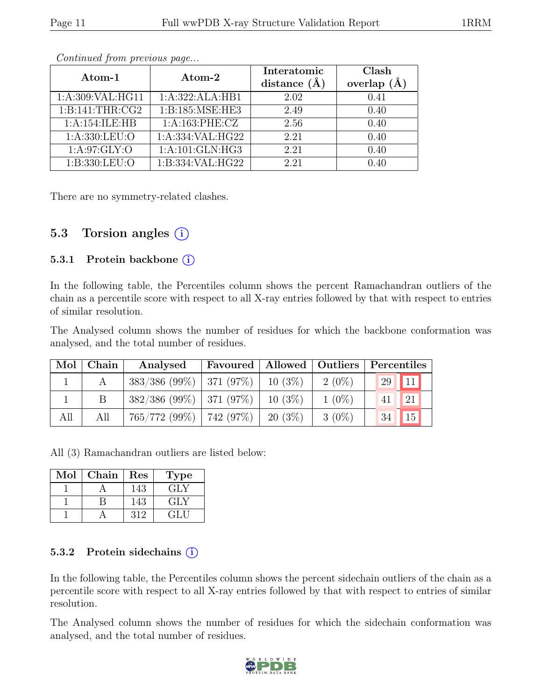| Atom-1            | Atom-2              | Interatomic<br>distance $(A)$ | Clash<br>$(\AA)$<br>overlap |
|-------------------|---------------------|-------------------------------|-----------------------------|
| 1:A:309:VAL:HG11  | 1:A:322:ALA:HB1     | 2.02                          | 0.41                        |
| 1:B:141:THR:CG2   | 1:B:185:MSE:HE3     | 2.49                          | 0.40                        |
| 1:A:154:ILE:HB    | 1:A:163:PHE:CZ      | 2.56                          | 0.40                        |
| 1: A: 330: LEU: O | 1:A:334:VAL:HG22    | 2.21                          | 0.40                        |
| 1: A:97: GLY:O    | 1: A: 101: GLN: HG3 | 2.21                          | 0.40                        |
| 1: B: 330: LEU: O | 1:B:334:VAL:HG22    | 2.21                          | 0.40                        |

Continued from previous page...

There are no symmetry-related clashes.

#### 5.3 Torsion angles (i)

#### 5.3.1 Protein backbone  $(i)$

In the following table, the Percentiles column shows the percent Ramachandran outliers of the chain as a percentile score with respect to all X-ray entries followed by that with respect to entries of similar resolution.

The Analysed column shows the number of residues for which the backbone conformation was analysed, and the total number of residues.

|     | Mol   Chain | Analysed                      |           |          | Favoured   Allowed   Outliers   Percentiles |
|-----|-------------|-------------------------------|-----------|----------|---------------------------------------------|
|     |             | $383/386$ (99\%)   371 (97\%) | 10 $(3%)$ | $2(0\%)$ | 11 <br>29                                   |
|     |             | $382/386 (99\%)$   371 (97\%) | 10 $(3%)$ | $1(0\%)$ | 21<br>41                                    |
| All | All         | $765/772$ (99%)   742 (97%)   | 20 (3\%)  | $3(0\%)$ | 34<br>15                                    |

All (3) Ramachandran outliers are listed below:

| Mol | Chain | $\operatorname{Res}% \left( \mathcal{N}\right) \equiv\operatorname{Res}(\mathcal{N}_{0})\cap\mathcal{N}_{1}$ | Fype |
|-----|-------|--------------------------------------------------------------------------------------------------------------|------|
|     |       | 143                                                                                                          | GLY  |
|     |       | 143                                                                                                          | GLY  |
|     |       | 319                                                                                                          |      |

#### 5.3.2 Protein sidechains  $(i)$

In the following table, the Percentiles column shows the percent sidechain outliers of the chain as a percentile score with respect to all X-ray entries followed by that with respect to entries of similar resolution.

The Analysed column shows the number of residues for which the sidechain conformation was analysed, and the total number of residues.

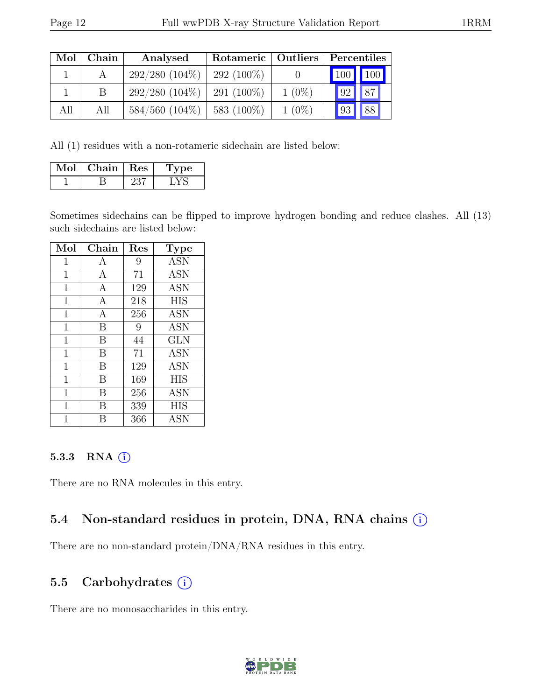| Mol | Chain        | Analysed            | Rotameric   Outliers |          |    | Percentiles |
|-----|--------------|---------------------|----------------------|----------|----|-------------|
|     |              | $292/280(104\%)$    | 292 (100\%)          |          |    | 100 100     |
|     | <sub>B</sub> | $292/280(104\%)$    | $291(100\%)$         | $1(0\%)$ | 92 | 87          |
| All | All          | $584/560$ $(104\%)$ | 583 (100\%)          | $1(0\%)$ | 93 | 88          |

All (1) residues with a non-rotameric sidechain are listed below:

| Mol | ${\bf Chain}$ | $\parallel$ Res | ype |
|-----|---------------|-----------------|-----|
|     |               | ハン              |     |

Sometimes sidechains can be flipped to improve hydrogen bonding and reduce clashes. All (13) such sidechains are listed below:

| Mol            | Chain        | Res | Type                       |
|----------------|--------------|-----|----------------------------|
| 1              | A            | 9   | <b>ASN</b>                 |
| 1              | A            | 71  | <b>ASN</b>                 |
| 1              | A            | 129 | <b>ASN</b>                 |
| $\overline{1}$ | A            | 218 | <b>HIS</b>                 |
| $\overline{1}$ | $\mathbf{A}$ | 256 | <b>ASN</b>                 |
| 1              | B            | 9   | <b>ASN</b>                 |
| 1              | B            | 44  | <b>GLN</b>                 |
| $\overline{1}$ | B            | 71  | <b>ASN</b>                 |
| 1              | B            | 129 | <b>ASN</b>                 |
| 1              | B            | 169 | <b>HIS</b>                 |
| 1              | B            | 256 | $\overline{\rm{A}}\rm{SN}$ |
| 1              | B            | 339 | HIS                        |
| 1              | В            | 366 | <b>ASN</b>                 |

#### 5.3.3 RNA  $(i)$

There are no RNA molecules in this entry.

#### 5.4 Non-standard residues in protein, DNA, RNA chains (i)

There are no non-standard protein/DNA/RNA residues in this entry.

#### 5.5 Carbohydrates  $(i)$

There are no monosaccharides in this entry.

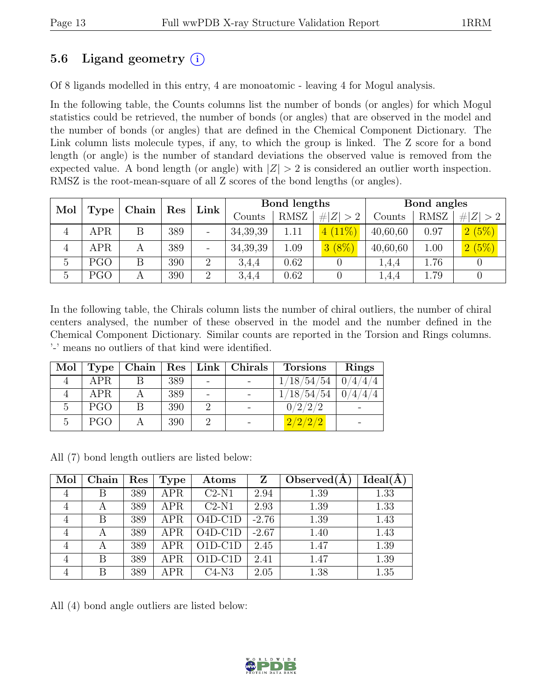### 5.6 Ligand geometry  $(i)$

Of 8 ligands modelled in this entry, 4 are monoatomic - leaving 4 for Mogul analysis.

In the following table, the Counts columns list the number of bonds (or angles) for which Mogul statistics could be retrieved, the number of bonds (or angles) that are observed in the model and the number of bonds (or angles) that are defined in the Chemical Component Dictionary. The Link column lists molecule types, if any, to which the group is linked. The Z score for a bond length (or angle) is the number of standard deviations the observed value is removed from the expected value. A bond length (or angle) with  $|Z| > 2$  is considered an outlier worth inspection. RMSZ is the root-mean-square of all Z scores of the bond lengths (or angles).

| Mol |             |       |     | Link           | Bond lengths |             |           | Bond angles |      |             |
|-----|-------------|-------|-----|----------------|--------------|-------------|-----------|-------------|------|-------------|
|     | <b>Type</b> | Chain | Res |                | Counts       | <b>RMSZ</b> | Z >2<br># | Counts      | RMSZ | # $ Z  > 2$ |
| 4   | APR         |       | 389 | -              | 34,39,39     | 1.11        | $4(11\%)$ | 40,60,60    | 0.97 | 2(5%)       |
| 4   | APR.        | А     | 389 | -              | 34, 39, 39   | 1.09        | $3(8\%)$  | 40,60,60    | 1.00 | 2(5%)       |
| 5   | PGO         |       | 390 | 2              | 3,4,4        | 0.62        |           | 1.4.4       | 1.76 |             |
| 5   | PGO         |       | 390 | $\overline{2}$ | 3,4,4        | 0.62        |           | 1.4.4       | 1.79 |             |

In the following table, the Chirals column lists the number of chiral outliers, the number of chiral centers analysed, the number of these observed in the model and the number defined in the Chemical Component Dictionary. Similar counts are reported in the Torsion and Rings columns. '-' means no outliers of that kind were identified.

| Mol |            |   |     |                | Type   Chain   Res   Link   Christmas | <b>Torsions</b> | Rings   |
|-----|------------|---|-----|----------------|---------------------------------------|-----------------|---------|
|     | <b>APR</b> |   | 389 | $\blacksquare$ |                                       | 1/18/54/54      | 0/4/4/4 |
|     | <b>APR</b> |   | 389 |                |                                       | 1/18/54/54      |         |
| 5   | <b>PGO</b> | B | 390 |                |                                       | 0/2/2/2         |         |
| 5   | <b>PGO</b> |   | 390 |                |                                       | 2/2/2/2         |         |

All (7) bond length outliers are listed below:

| Mol | Chain | Res | Type       | Atoms     | Z       | Observed $(A)$ | Ideal(A) |
|-----|-------|-----|------------|-----------|---------|----------------|----------|
| 4   | В     | 389 | <b>APR</b> | $C2-N1$   | 2.94    | 1.39           | 1.33     |
| 4   | A     | 389 | <b>APR</b> | $C2-N1$   | 2.93    | 1.39           | 1.33     |
| 4   | B     | 389 | <b>APR</b> | $O4D-C1D$ | $-2.76$ | 1.39           | 1.43     |
| 4   | А     | 389 | APR        | $O4D-C1D$ | $-2.67$ | 1.40           | 1.43     |
| 4   | A     | 389 | <b>APR</b> | $O1D-C1D$ | 2.45    | 1.47           | 1.39     |
| 4   | В     | 389 | <b>APR</b> | $O1D-C1D$ | 2.41    | 1.47           | 1.39     |
| 4   | В     | 389 | <b>APR</b> | $C4-N3$   | 2.05    | 1.38           | 1.35     |

All (4) bond angle outliers are listed below:

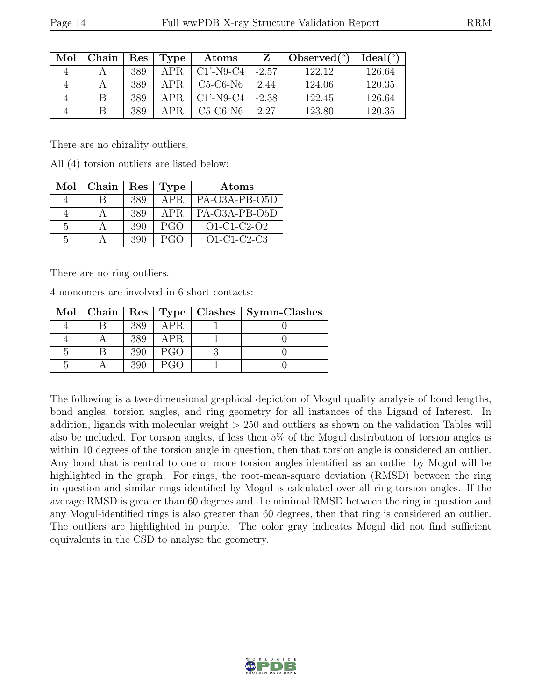| Mol | Chain | Res | Type | Atoms        |         | Observed $(°)$ | Ideal <sup>(o)</sup> |
|-----|-------|-----|------|--------------|---------|----------------|----------------------|
|     |       | 389 | APR. | $C1'$ -N9-C4 | $-2.57$ | 122.12         | 126.64               |
|     |       | 389 | APR. | $C5-C6-N6$   | 2.44    | 124.06         | 120.35               |
|     |       | 389 | APR. | $C1'$ -N9-C4 | $-2.38$ | 122.45         | 126.64               |
|     | R     | 389 | APR  | $C5-C6-N6$   | 2.27    | 123.80         | 120.35               |

There are no chirality outliers.

All (4) torsion outliers are listed below:

| Mol            | Chain | Res | Type       | Atoms         |
|----------------|-------|-----|------------|---------------|
|                |       | 389 | APR.       | PA-O3A-PB-O5D |
|                |       | 389 | <b>APR</b> | PA-O3A-PB-O5D |
| $\overline{5}$ |       | 390 | PGO        | $O1-C1-C2-O2$ |
| 5              |       | 390 | PGO        | $O1-C1-C2-C3$ |

There are no ring outliers.

4 monomers are involved in 6 short contacts:

|  |     |            | Mol   Chain   Res   Type   Clashes   Symm-Clashes |
|--|-----|------------|---------------------------------------------------|
|  | 389 | APR.       |                                                   |
|  | 389 | APR.       |                                                   |
|  | 390 | PGO        |                                                   |
|  | 390 | <b>PGO</b> |                                                   |

The following is a two-dimensional graphical depiction of Mogul quality analysis of bond lengths, bond angles, torsion angles, and ring geometry for all instances of the Ligand of Interest. In addition, ligands with molecular weight > 250 and outliers as shown on the validation Tables will also be included. For torsion angles, if less then 5% of the Mogul distribution of torsion angles is within 10 degrees of the torsion angle in question, then that torsion angle is considered an outlier. Any bond that is central to one or more torsion angles identified as an outlier by Mogul will be highlighted in the graph. For rings, the root-mean-square deviation (RMSD) between the ring in question and similar rings identified by Mogul is calculated over all ring torsion angles. If the average RMSD is greater than 60 degrees and the minimal RMSD between the ring in question and any Mogul-identified rings is also greater than 60 degrees, then that ring is considered an outlier. The outliers are highlighted in purple. The color gray indicates Mogul did not find sufficient equivalents in the CSD to analyse the geometry.

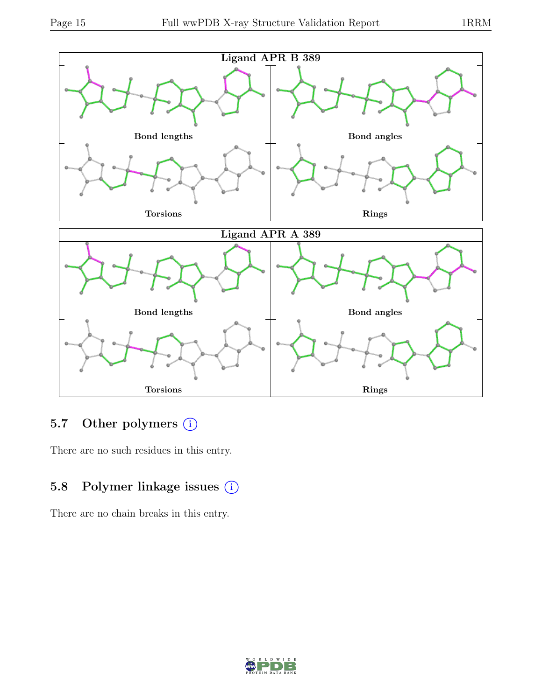

### 5.7 Other polymers (i)

There are no such residues in this entry.

### 5.8 Polymer linkage issues (i)

There are no chain breaks in this entry.